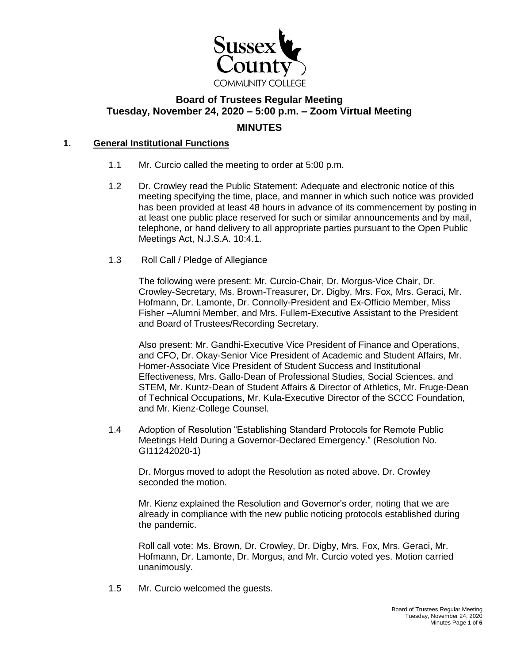

# **Board of Trustees Regular Meeting Tuesday, November 24, 2020 – 5:00 p.m. – Zoom Virtual Meeting MINUTES**

#### **1. General Institutional Functions**

- 1.1 Mr. Curcio called the meeting to order at 5:00 p.m.
- 1.2 Dr. Crowley read the Public Statement: Adequate and electronic notice of this meeting specifying the time, place, and manner in which such notice was provided has been provided at least 48 hours in advance of its commencement by posting in at least one public place reserved for such or similar announcements and by mail, telephone, or hand delivery to all appropriate parties pursuant to the Open Public Meetings Act, N.J.S.A. 10:4.1.
- 1.3 Roll Call / Pledge of Allegiance

The following were present: Mr. Curcio-Chair, Dr. Morgus-Vice Chair, Dr. Crowley-Secretary, Ms. Brown-Treasurer, Dr. Digby, Mrs. Fox, Mrs. Geraci, Mr. Hofmann, Dr. Lamonte, Dr. Connolly-President and Ex-Officio Member, Miss Fisher –Alumni Member, and Mrs. Fullem-Executive Assistant to the President and Board of Trustees/Recording Secretary.

Also present: Mr. Gandhi-Executive Vice President of Finance and Operations, and CFO, Dr. Okay-Senior Vice President of Academic and Student Affairs, Mr. Homer-Associate Vice President of Student Success and Institutional Effectiveness, Mrs. Gallo-Dean of Professional Studies, Social Sciences, and STEM, Mr. Kuntz-Dean of Student Affairs & Director of Athletics, Mr. Fruge-Dean of Technical Occupations, Mr. Kula-Executive Director of the SCCC Foundation, and Mr. Kienz-College Counsel.

1.4 Adoption of Resolution "Establishing Standard Protocols for Remote Public Meetings Held During a Governor-Declared Emergency." (Resolution No. GI11242020-1)

Dr. Morgus moved to adopt the Resolution as noted above. Dr. Crowley seconded the motion.

Mr. Kienz explained the Resolution and Governor's order, noting that we are already in compliance with the new public noticing protocols established during the pandemic.

Roll call vote: Ms. Brown, Dr. Crowley, Dr. Digby, Mrs. Fox, Mrs. Geraci, Mr. Hofmann, Dr. Lamonte, Dr. Morgus, and Mr. Curcio voted yes. Motion carried unanimously.

1.5 Mr. Curcio welcomed the guests.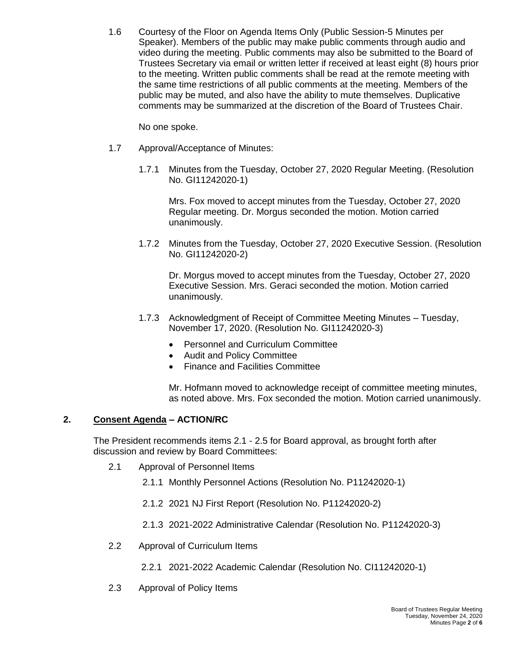1.6 Courtesy of the Floor on Agenda Items Only (Public Session-5 Minutes per Speaker). Members of the public may make public comments through audio and video during the meeting. Public comments may also be submitted to the Board of Trustees Secretary via email or written letter if received at least eight (8) hours prior to the meeting. Written public comments shall be read at the remote meeting with the same time restrictions of all public comments at the meeting. Members of the public may be muted, and also have the ability to mute themselves. Duplicative comments may be summarized at the discretion of the Board of Trustees Chair.

No one spoke.

- 1.7 Approval/Acceptance of Minutes:
	- 1.7.1 Minutes from the Tuesday, October 27, 2020 Regular Meeting. (Resolution No. GI11242020-1)

Mrs. Fox moved to accept minutes from the Tuesday, October 27, 2020 Regular meeting. Dr. Morgus seconded the motion. Motion carried unanimously.

1.7.2 Minutes from the Tuesday, October 27, 2020 Executive Session. (Resolution No. GI11242020-2)

Dr. Morgus moved to accept minutes from the Tuesday, October 27, 2020 Executive Session. Mrs. Geraci seconded the motion. Motion carried unanimously.

- 1.7.3 Acknowledgment of Receipt of Committee Meeting Minutes Tuesday, November 17, 2020. (Resolution No. GI11242020-3)
	- Personnel and Curriculum Committee
	- Audit and Policy Committee
	- Finance and Facilities Committee

Mr. Hofmann moved to acknowledge receipt of committee meeting minutes, as noted above. Mrs. Fox seconded the motion. Motion carried unanimously.

## **2. Consent Agenda – ACTION/RC**

The President recommends items 2.1 - 2.5 for Board approval, as brought forth after discussion and review by Board Committees:

- 2.1 Approval of Personnel Items
	- 2.1.1 Monthly Personnel Actions (Resolution No. P11242020-1)
	- 2.1.2 2021 NJ First Report (Resolution No. P11242020-2)
	- 2.1.3 2021-2022 Administrative Calendar (Resolution No. P11242020-3)
- 2.2 Approval of Curriculum Items
	- 2.2.1 2021-2022 Academic Calendar (Resolution No. CI11242020-1)
- 2.3 Approval of Policy Items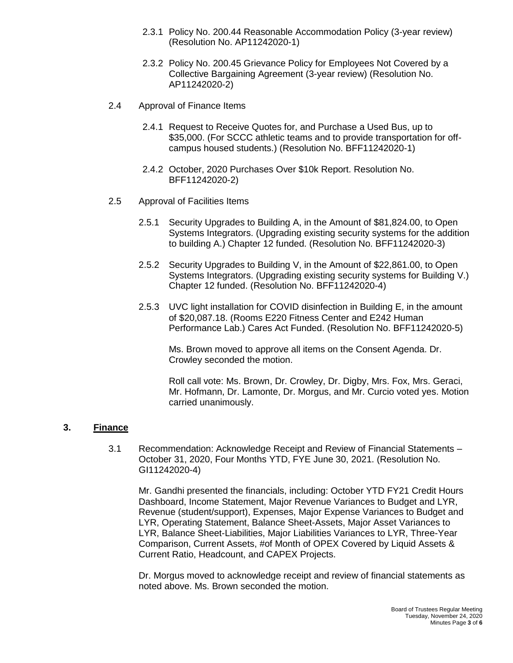- 2.3.1 Policy No. 200.44 Reasonable Accommodation Policy (3-year review) (Resolution No. AP11242020-1)
- 2.3.2 Policy No. 200.45 Grievance Policy for Employees Not Covered by a Collective Bargaining Agreement (3-year review) (Resolution No. AP11242020-2)
- 2.4 Approval of Finance Items
	- 2.4.1 Request to Receive Quotes for, and Purchase a Used Bus, up to \$35,000. (For SCCC athletic teams and to provide transportation for offcampus housed students.) (Resolution No. BFF11242020-1)
	- 2.4.2 October, 2020 Purchases Over \$10k Report. Resolution No. BFF11242020-2)
- 2.5 Approval of Facilities Items
	- 2.5.1 Security Upgrades to Building A, in the Amount of \$81,824.00, to Open Systems Integrators. (Upgrading existing security systems for the addition to building A.) Chapter 12 funded. (Resolution No. BFF11242020-3)
	- 2.5.2 Security Upgrades to Building V, in the Amount of \$22,861.00, to Open Systems Integrators. (Upgrading existing security systems for Building V.) Chapter 12 funded. (Resolution No. BFF11242020-4)
	- 2.5.3 UVC light installation for COVID disinfection in Building E, in the amount of \$20,087.18. (Rooms E220 Fitness Center and E242 Human Performance Lab.) Cares Act Funded. (Resolution No. BFF11242020-5)

Ms. Brown moved to approve all items on the Consent Agenda. Dr. Crowley seconded the motion.

Roll call vote: Ms. Brown, Dr. Crowley, Dr. Digby, Mrs. Fox, Mrs. Geraci, Mr. Hofmann, Dr. Lamonte, Dr. Morgus, and Mr. Curcio voted yes. Motion carried unanimously.

## **3. Finance**

3.1 Recommendation: Acknowledge Receipt and Review of Financial Statements – October 31, 2020, Four Months YTD, FYE June 30, 2021. (Resolution No. GI11242020-4)

Mr. Gandhi presented the financials, including: October YTD FY21 Credit Hours Dashboard, Income Statement, Major Revenue Variances to Budget and LYR, Revenue (student/support), Expenses, Major Expense Variances to Budget and LYR, Operating Statement, Balance Sheet-Assets, Major Asset Variances to LYR, Balance Sheet-Liabilities, Major Liabilities Variances to LYR, Three-Year Comparison, Current Assets, #of Month of OPEX Covered by Liquid Assets & Current Ratio, Headcount, and CAPEX Projects.

Dr. Morgus moved to acknowledge receipt and review of financial statements as noted above. Ms. Brown seconded the motion.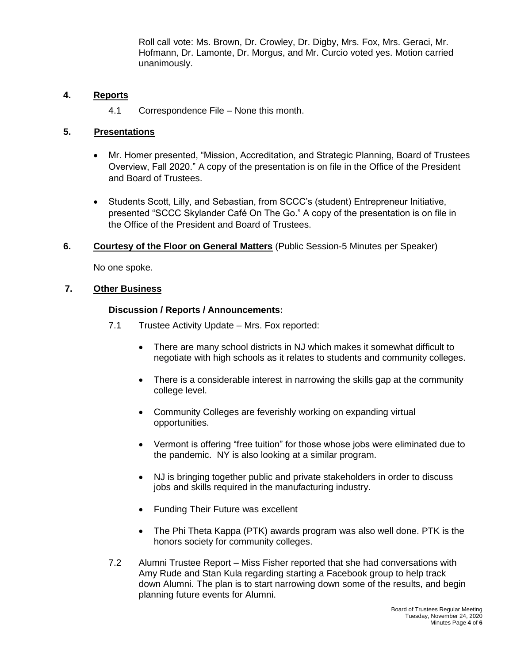Roll call vote: Ms. Brown, Dr. Crowley, Dr. Digby, Mrs. Fox, Mrs. Geraci, Mr. Hofmann, Dr. Lamonte, Dr. Morgus, and Mr. Curcio voted yes. Motion carried unanimously.

## **4. Reports**

4.1 Correspondence File – None this month.

## **5. Presentations**

- Mr. Homer presented, "Mission, Accreditation, and Strategic Planning, Board of Trustees Overview, Fall 2020." A copy of the presentation is on file in the Office of the President and Board of Trustees.
- Students Scott, Lilly, and Sebastian, from SCCC's (student) Entrepreneur Initiative, presented "SCCC Skylander Café On The Go." A copy of the presentation is on file in the Office of the President and Board of Trustees.
- **6. Courtesy of the Floor on General Matters** (Public Session-5 Minutes per Speaker)

No one spoke.

## **7. Other Business**

## **Discussion / Reports / Announcements:**

- 7.1 Trustee Activity Update Mrs. Fox reported:
	- There are many school districts in NJ which makes it somewhat difficult to negotiate with high schools as it relates to students and community colleges.
	- There is a considerable interest in narrowing the skills gap at the community college level.
	- Community Colleges are feverishly working on expanding virtual opportunities.
	- Vermont is offering "free tuition" for those whose jobs were eliminated due to the pandemic. NY is also looking at a similar program.
	- NJ is bringing together public and private stakeholders in order to discuss jobs and skills required in the manufacturing industry.
	- Funding Their Future was excellent
	- The Phi Theta Kappa (PTK) awards program was also well done. PTK is the honors society for community colleges.
- 7.2 Alumni Trustee Report Miss Fisher reported that she had conversations with Amy Rude and Stan Kula regarding starting a Facebook group to help track down Alumni. The plan is to start narrowing down some of the results, and begin planning future events for Alumni.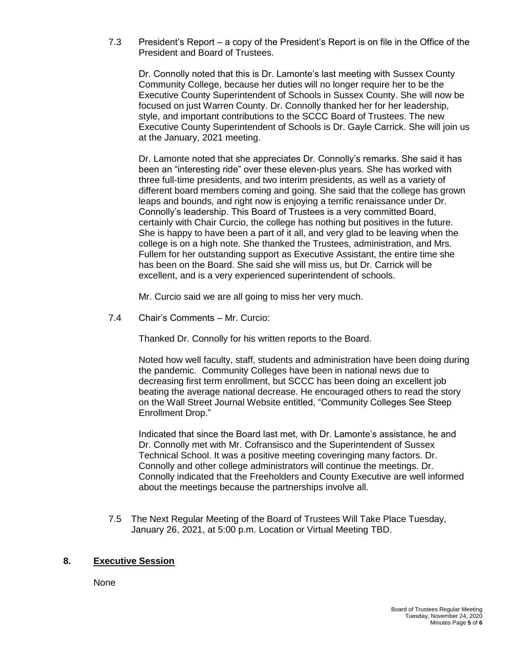7.3 President's Report – a copy of the President's Report is on file in the Office of the President and Board of Trustees.

Dr. Connolly noted that this is Dr. Lamonte's last meeting with Sussex County Community College, because her duties will no longer require her to be the Executive County Superintendent of Schools in Sussex County. She will now be focused on just Warren County. Dr. Connolly thanked her for her leadership, style, and important contributions to the SCCC Board of Trustees. The new Executive County Superintendent of Schools is Dr. Gayle Carrick. She will join us at the January, 2021 meeting.

Dr. Lamonte noted that she appreciates Dr. Connolly's remarks. She said it has been an "interesting ride" over these eleven-plus years. She has worked with three full-time presidents, and two interim presidents, as well as a variety of different board members coming and going. She said that the college has grown leaps and bounds, and right now is enjoying a terrific renaissance under Dr. Connolly's leadership. This Board of Trustees is a very committed Board, certainly with Chair Curcio, the college has nothing but positives in the future. She is happy to have been a part of it all, and very glad to be leaving when the college is on a high note. She thanked the Trustees, administration, and Mrs. Fullem for her outstanding support as Executive Assistant, the entire time she has been on the Board. She said she will miss us, but Dr. Carrick will be excellent, and is a very experienced superintendent of schools.

Mr. Curcio said we are all going to miss her very much.

7.4 Chair's Comments – Mr. Curcio:

Thanked Dr. Connolly for his written reports to the Board.

Noted how well faculty, staff, students and administration have been doing during the pandemic. Community Colleges have been in national news due to decreasing first term enrollment, but SCCC has been doing an excellent job beating the average national decrease. He encouraged others to read the story on the Wall Street Journal Website entitled, "Community Colleges See Steep Enrollment Drop."

Indicated that since the Board last met, with Dr. Lamonte's assistance, he and Dr. Connolly met with Mr. Cofransisco and the Superintendent of Sussex Technical School. It was a positive meeting coveringing many factors. Dr. Connolly and other college administrators will continue the meetings. Dr. Connolly indicated that the Freeholders and County Executive are well informed about the meetings because the partnerships involve all.

7.5 The Next Regular Meeting of the Board of Trustees Will Take Place Tuesday, January 26, 2021, at 5:00 p.m. Location or Virtual Meeting TBD.

## **8. Executive Session**

None